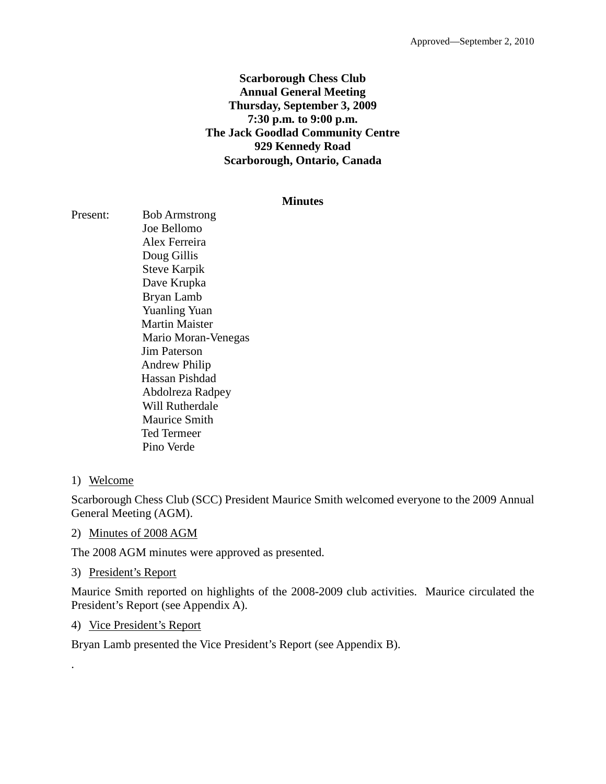## **Scarborough Chess Club Annual General Meeting Thursday, September 3, 2009 7:30 p.m. to 9:00 p.m. The Jack Goodlad Community Centre 929 Kennedy Road Scarborough, Ontario, Canada**

#### **Minutes**

Present: Bob Armstrong Joe Bellomo Alex Ferreira Doug Gillis Steve Karpik Dave Krupka Bryan Lamb Yuanling Yuan Martin Maister Mario Moran-Venegas Jim Paterson Andrew Philip Hassan Pishdad Abdolreza Radpey Will Rutherdale Maurice Smith Ted Termeer Pino Verde

## 1) Welcome

.

Scarborough Chess Club (SCC) President Maurice Smith welcomed everyone to the 2009 Annual General Meeting (AGM).

## 2) Minutes of 2008 AGM

The 2008 AGM minutes were approved as presented.

#### 3) President's Report

Maurice Smith reported on highlights of the 2008-2009 club activities. Maurice circulated the President's Report (see Appendix A).

## 4) Vice President's Report

Bryan Lamb presented the Vice President's Report (see Appendix B).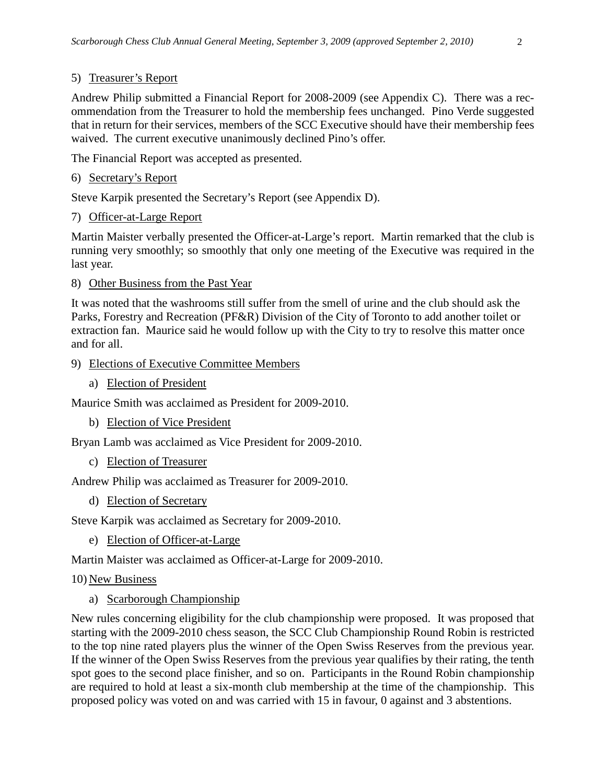## 5) Treasurer's Report

Andrew Philip submitted a Financial Report for 2008-2009 (see Appendix C). There was a recommendation from the Treasurer to hold the membership fees unchanged. Pino Verde suggested that in return for their services, members of the SCC Executive should have their membership fees waived. The current executive unanimously declined Pino's offer.

The Financial Report was accepted as presented.

## 6) Secretary's Report

Steve Karpik presented the Secretary's Report (see Appendix D).

## 7) Officer-at-Large Report

Martin Maister verbally presented the Officer-at-Large's report. Martin remarked that the club is running very smoothly; so smoothly that only one meeting of the Executive was required in the last year.

## 8) Other Business from the Past Year

It was noted that the washrooms still suffer from the smell of urine and the club should ask the Parks, Forestry and Recreation (PF&R) Division of the City of Toronto to add another toilet or extraction fan. Maurice said he would follow up with the City to try to resolve this matter once and for all.

## 9) Elections of Executive Committee Members

a) Election of President

Maurice Smith was acclaimed as President for 2009-2010.

b) Election of Vice President

Bryan Lamb was acclaimed as Vice President for 2009-2010.

c) Election of Treasurer

Andrew Philip was acclaimed as Treasurer for 2009-2010.

d) Election of Secretary

Steve Karpik was acclaimed as Secretary for 2009-2010.

e) Election of Officer-at-Large

Martin Maister was acclaimed as Officer-at-Large for 2009-2010.

#### 10) New Business

a) Scarborough Championship

New rules concerning eligibility for the club championship were proposed. It was proposed that starting with the 2009-2010 chess season, the SCC Club Championship Round Robin is restricted to the top nine rated players plus the winner of the Open Swiss Reserves from the previous year. If the winner of the Open Swiss Reserves from the previous year qualifies by their rating, the tenth spot goes to the second place finisher, and so on. Participants in the Round Robin championship are required to hold at least a six-month club membership at the time of the championship. This proposed policy was voted on and was carried with 15 in favour, 0 against and 3 abstentions.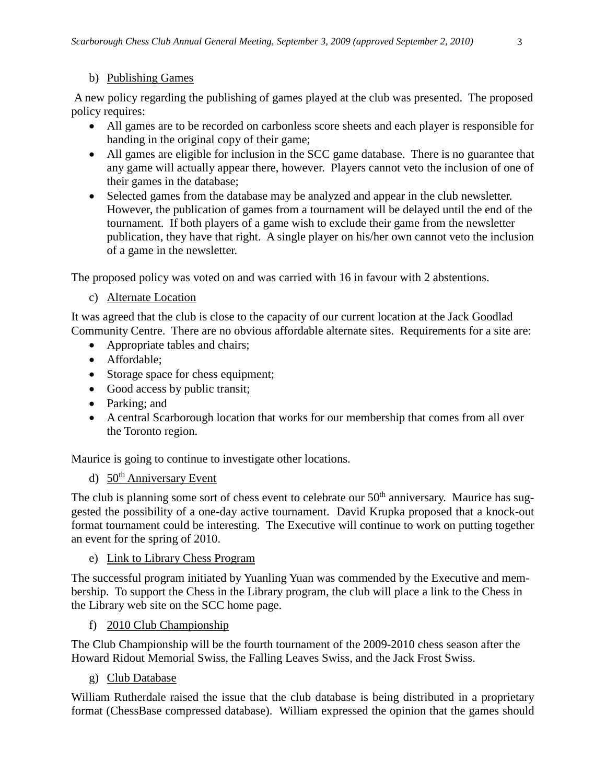## b) Publishing Games

A new policy regarding the publishing of games played at the club was presented. The proposed policy requires:

- All games are to be recorded on carbonless score sheets and each player is responsible for handing in the original copy of their game;
- All games are eligible for inclusion in the SCC game database. There is no guarantee that any game will actually appear there, however. Players cannot veto the inclusion of one of their games in the database;
- Selected games from the database may be analyzed and appear in the club newsletter. However, the publication of games from a tournament will be delayed until the end of the tournament. If both players of a game wish to exclude their game from the newsletter publication, they have that right. A single player on his/her own cannot veto the inclusion of a game in the newsletter.

The proposed policy was voted on and was carried with 16 in favour with 2 abstentions.

c) Alternate Location

It was agreed that the club is close to the capacity of our current location at the Jack Goodlad Community Centre. There are no obvious affordable alternate sites. Requirements for a site are:

- Appropriate tables and chairs:
- Affordable;
- Storage space for chess equipment;
- Good access by public transit;
- Parking; and
- A central Scarborough location that works for our membership that comes from all over the Toronto region.

Maurice is going to continue to investigate other locations.

## d) 50<sup>th</sup> Anniversary Event

The club is planning some sort of chess event to celebrate our  $50<sup>th</sup>$  anniversary. Maurice has suggested the possibility of a one-day active tournament. David Krupka proposed that a knock-out format tournament could be interesting. The Executive will continue to work on putting together an event for the spring of 2010.

e) Link to Library Chess Program

The successful program initiated by Yuanling Yuan was commended by the Executive and membership. To support the Chess in the Library program, the club will place a link to the Chess in the Library web site on the SCC home page.

f) 2010 Club Championship

The Club Championship will be the fourth tournament of the 2009-2010 chess season after the Howard Ridout Memorial Swiss, the Falling Leaves Swiss, and the Jack Frost Swiss.

g) Club Database

William Rutherdale raised the issue that the club database is being distributed in a proprietary format (ChessBase compressed database). William expressed the opinion that the games should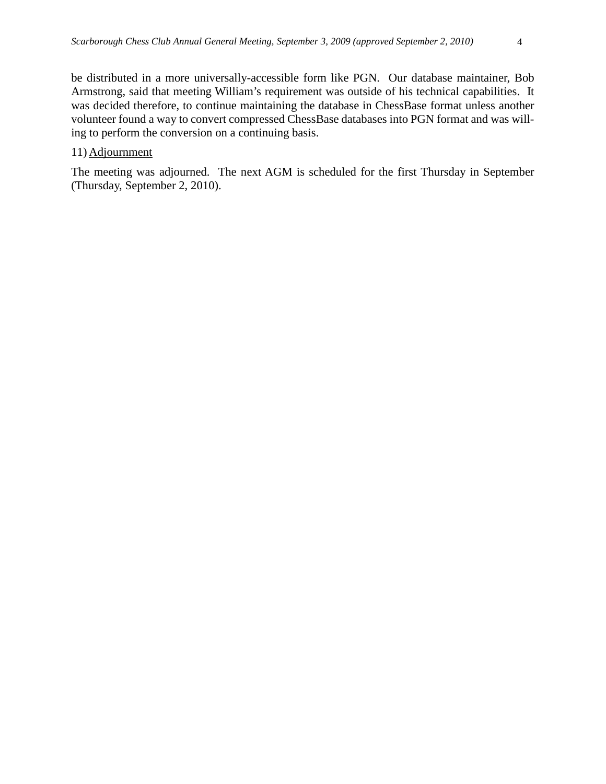be distributed in a more universally-accessible form like PGN. Our database maintainer, Bob Armstrong, said that meeting William's requirement was outside of his technical capabilities. It was decided therefore, to continue maintaining the database in ChessBase format unless another volunteer found a way to convert compressed ChessBase databases into PGN format and was willing to perform the conversion on a continuing basis.

#### 11) Adjournment

The meeting was adjourned. The next AGM is scheduled for the first Thursday in September (Thursday, September 2, 2010).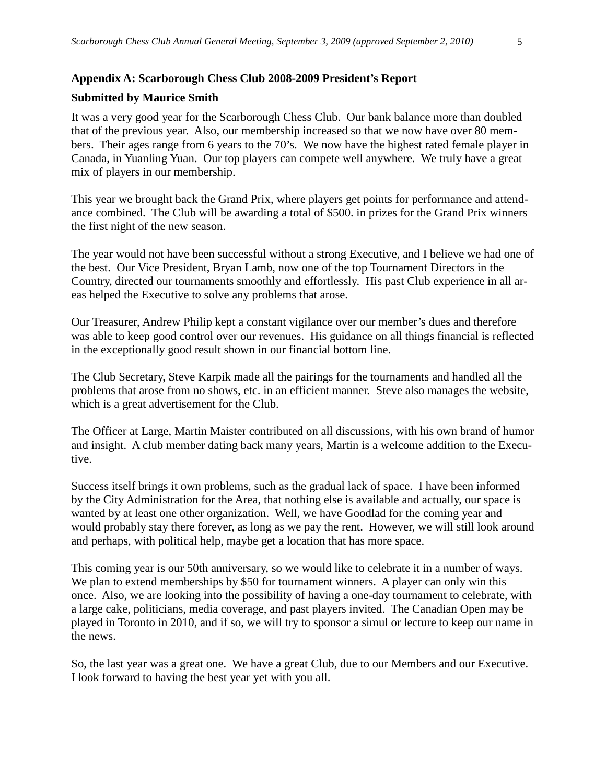#### **Appendix A: Scarborough Chess Club 2008-2009 President's Report**

#### **Submitted by Maurice Smith**

It was a very good year for the Scarborough Chess Club. Our bank balance more than doubled that of the previous year. Also, our membership increased so that we now have over 80 members. Their ages range from 6 years to the 70's. We now have the highest rated female player in Canada, in Yuanling Yuan. Our top players can compete well anywhere. We truly have a great mix of players in our membership.

This year we brought back the Grand Prix, where players get points for performance and attendance combined. The Club will be awarding a total of \$500. in prizes for the Grand Prix winners the first night of the new season.

The year would not have been successful without a strong Executive, and I believe we had one of the best. Our Vice President, Bryan Lamb, now one of the top Tournament Directors in the Country, directed our tournaments smoothly and effortlessly. His past Club experience in all areas helped the Executive to solve any problems that arose.

Our Treasurer, Andrew Philip kept a constant vigilance over our member's dues and therefore was able to keep good control over our revenues. His guidance on all things financial is reflected in the exceptionally good result shown in our financial bottom line.

The Club Secretary, Steve Karpik made all the pairings for the tournaments and handled all the problems that arose from no shows, etc. in an efficient manner. Steve also manages the website, which is a great advertisement for the Club.

The Officer at Large, Martin Maister contributed on all discussions, with his own brand of humor and insight. A club member dating back many years, Martin is a welcome addition to the Executive.

Success itself brings it own problems, such as the gradual lack of space. I have been informed by the City Administration for the Area, that nothing else is available and actually, our space is wanted by at least one other organization. Well, we have Goodlad for the coming year and would probably stay there forever, as long as we pay the rent. However, we will still look around and perhaps, with political help, maybe get a location that has more space.

This coming year is our 50th anniversary, so we would like to celebrate it in a number of ways. We plan to extend memberships by \$50 for tournament winners. A player can only win this once. Also, we are looking into the possibility of having a one-day tournament to celebrate, with a large cake, politicians, media coverage, and past players invited. The Canadian Open may be played in Toronto in 2010, and if so, we will try to sponsor a simul or lecture to keep our name in the news.

So, the last year was a great one. We have a great Club, due to our Members and our Executive. I look forward to having the best year yet with you all.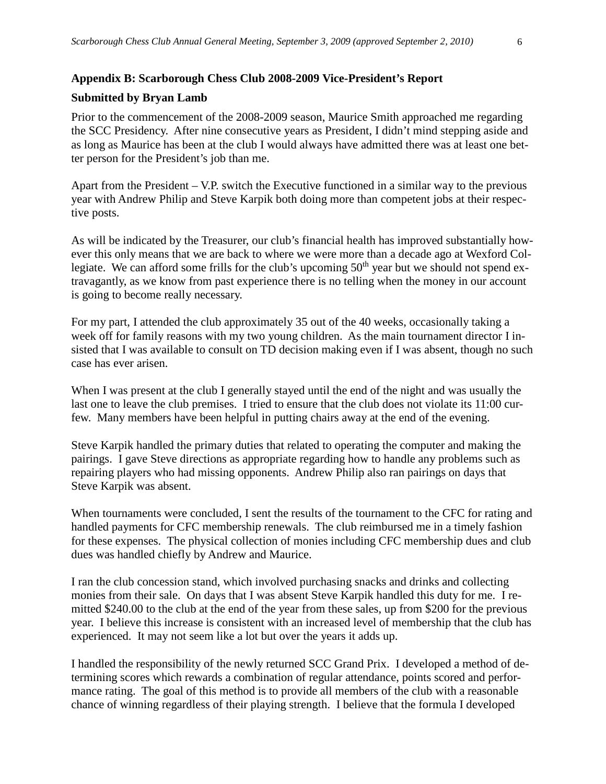#### **Appendix B: Scarborough Chess Club 2008-2009 Vice-President's Report**

#### **Submitted by Bryan Lamb**

Prior to the commencement of the 2008-2009 season, Maurice Smith approached me regarding the SCC Presidency. After nine consecutive years as President, I didn't mind stepping aside and as long as Maurice has been at the club I would always have admitted there was at least one better person for the President's job than me.

Apart from the President – V.P. switch the Executive functioned in a similar way to the previous year with Andrew Philip and Steve Karpik both doing more than competent jobs at their respective posts.

As will be indicated by the Treasurer, our club's financial health has improved substantially however this only means that we are back to where we were more than a decade ago at Wexford Collegiate. We can afford some frills for the club's upcoming 50<sup>th</sup> year but we should not spend extravagantly, as we know from past experience there is no telling when the money in our account is going to become really necessary.

For my part, I attended the club approximately 35 out of the 40 weeks, occasionally taking a week off for family reasons with my two young children. As the main tournament director I insisted that I was available to consult on TD decision making even if I was absent, though no such case has ever arisen.

When I was present at the club I generally stayed until the end of the night and was usually the last one to leave the club premises. I tried to ensure that the club does not violate its 11:00 curfew. Many members have been helpful in putting chairs away at the end of the evening.

Steve Karpik handled the primary duties that related to operating the computer and making the pairings. I gave Steve directions as appropriate regarding how to handle any problems such as repairing players who had missing opponents. Andrew Philip also ran pairings on days that Steve Karpik was absent.

When tournaments were concluded, I sent the results of the tournament to the CFC for rating and handled payments for CFC membership renewals. The club reimbursed me in a timely fashion for these expenses. The physical collection of monies including CFC membership dues and club dues was handled chiefly by Andrew and Maurice.

I ran the club concession stand, which involved purchasing snacks and drinks and collecting monies from their sale. On days that I was absent Steve Karpik handled this duty for me. I remitted \$240.00 to the club at the end of the year from these sales, up from \$200 for the previous year. I believe this increase is consistent with an increased level of membership that the club has experienced. It may not seem like a lot but over the years it adds up.

I handled the responsibility of the newly returned SCC Grand Prix. I developed a method of determining scores which rewards a combination of regular attendance, points scored and performance rating. The goal of this method is to provide all members of the club with a reasonable chance of winning regardless of their playing strength. I believe that the formula I developed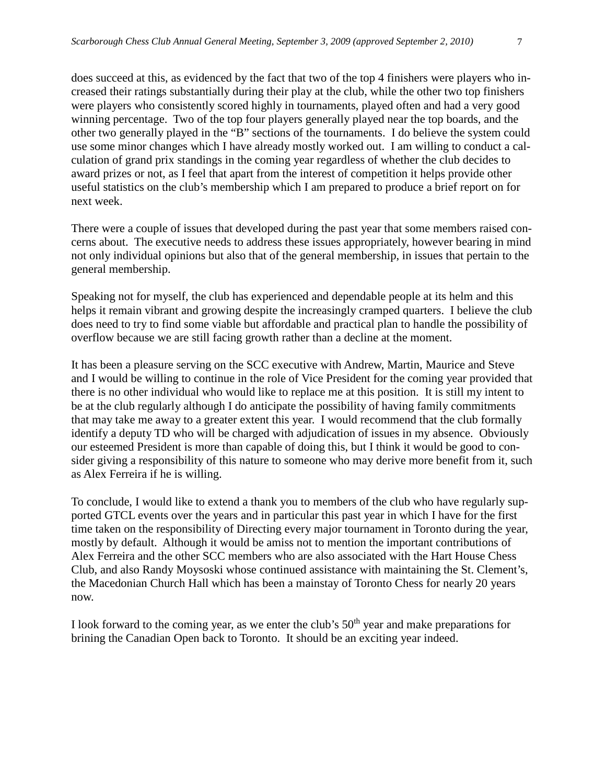culation of grand prix standings in the coming year regardless of whether the club decides to award prizes or not, as I feel that apart from the interest of competition it helps provide other useful statistics on the club's membership which I am prepared to produce a brief report on for next week.

There were a couple of issues that developed during the past year that some members raised concerns about. The executive needs to address these issues appropriately, however bearing in mind not only individual opinions but also that of the general membership, in issues that pertain to the general membership.

Speaking not for myself, the club has experienced and dependable people at its helm and this helps it remain vibrant and growing despite the increasingly cramped quarters. I believe the club does need to try to find some viable but affordable and practical plan to handle the possibility of overflow because we are still facing growth rather than a decline at the moment.

It has been a pleasure serving on the SCC executive with Andrew, Martin, Maurice and Steve and I would be willing to continue in the role of Vice President for the coming year provided that there is no other individual who would like to replace me at this position. It is still my intent to be at the club regularly although I do anticipate the possibility of having family commitments that may take me away to a greater extent this year. I would recommend that the club formally identify a deputy TD who will be charged with adjudication of issues in my absence. Obviously our esteemed President is more than capable of doing this, but I think it would be good to consider giving a responsibility of this nature to someone who may derive more benefit from it, such as Alex Ferreira if he is willing.

To conclude, I would like to extend a thank you to members of the club who have regularly supported GTCL events over the years and in particular this past year in which I have for the first time taken on the responsibility of Directing every major tournament in Toronto during the year, mostly by default. Although it would be amiss not to mention the important contributions of Alex Ferreira and the other SCC members who are also associated with the Hart House Chess Club, and also Randy Moysoski whose continued assistance with maintaining the St. Clement's, the Macedonian Church Hall which has been a mainstay of Toronto Chess for nearly 20 years now.

I look forward to the coming year, as we enter the club's  $50<sup>th</sup>$  year and make preparations for brining the Canadian Open back to Toronto. It should be an exciting year indeed.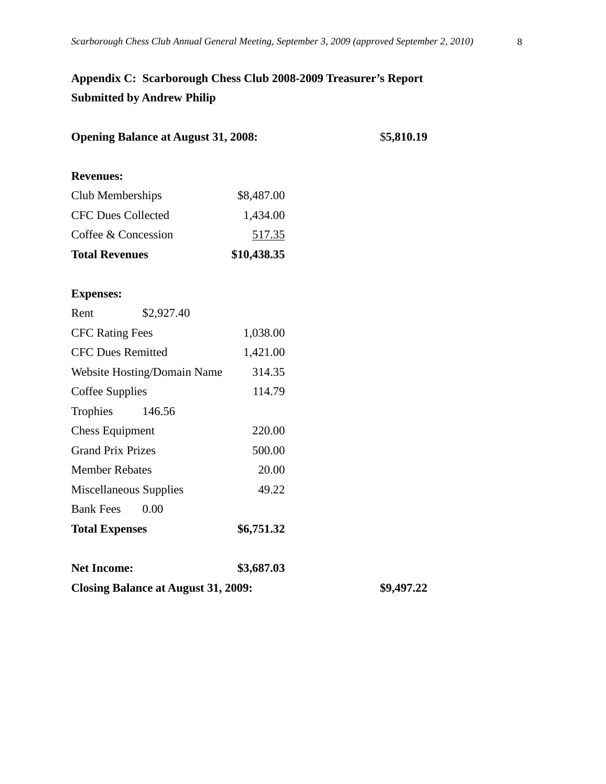# **Appendix C: Scarborough Chess Club 2008-2009 Treasurer's Report Submitted by Andrew Philip**

| <b>Opening Balance at August 31, 2008:</b> |               | \$5,810.19 |
|--------------------------------------------|---------------|------------|
| <b>Revenues:</b>                           |               |            |
| Club Memberships                           | \$8,487.00    |            |
| <b>CFC Dues Collected</b>                  | 1,434.00      |            |
| Coffee & Concession                        | <u>517.35</u> |            |
| <b>Total Revenues</b>                      | \$10,438.35   |            |
| <b>Expenses:</b>                           |               |            |
| Rent<br>\$2,927.40                         |               |            |
| <b>CFC Rating Fees</b>                     | 1,038.00      |            |
| <b>CFC Dues Remitted</b>                   | 1,421.00      |            |
| Website Hosting/Domain Name                | 314.35        |            |
| Coffee Supplies                            | 114.79        |            |
| Trophies<br>146.56                         |               |            |
| <b>Chess Equipment</b>                     | 220.00        |            |
| <b>Grand Prix Prizes</b>                   | 500.00        |            |
| <b>Member Rebates</b>                      | 20.00         |            |
| Miscellaneous Supplies                     | 49.22         |            |
| <b>Bank Fees</b><br>0.00                   |               |            |
| <b>Total Expenses</b>                      | \$6,751.32    |            |
| <b>Net Income:</b>                         | \$3,687.03    |            |
| <b>Closing Balance at August 31, 2009:</b> |               | \$9,497.22 |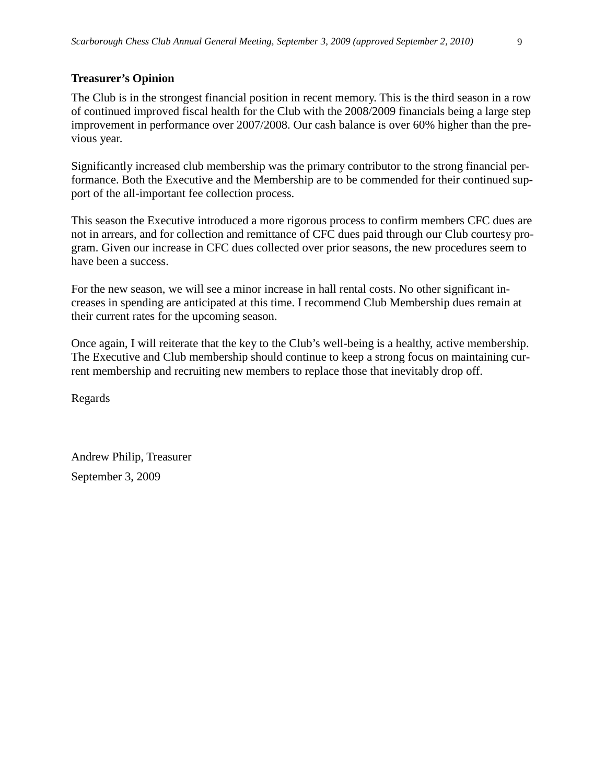#### **Treasurer's Opinion**

The Club is in the strongest financial position in recent memory. This is the third season in a row of continued improved fiscal health for the Club with the 2008/2009 financials being a large step improvement in performance over 2007/2008. Our cash balance is over 60% higher than the previous year.

Significantly increased club membership was the primary contributor to the strong financial performance. Both the Executive and the Membership are to be commended for their continued support of the all-important fee collection process.

This season the Executive introduced a more rigorous process to confirm members CFC dues are not in arrears, and for collection and remittance of CFC dues paid through our Club courtesy program. Given our increase in CFC dues collected over prior seasons, the new procedures seem to have been a success.

For the new season, we will see a minor increase in hall rental costs. No other significant increases in spending are anticipated at this time. I recommend Club Membership dues remain at their current rates for the upcoming season.

Once again, I will reiterate that the key to the Club's well-being is a healthy, active membership. The Executive and Club membership should continue to keep a strong focus on maintaining current membership and recruiting new members to replace those that inevitably drop off.

Regards

Andrew Philip, Treasurer September 3, 2009